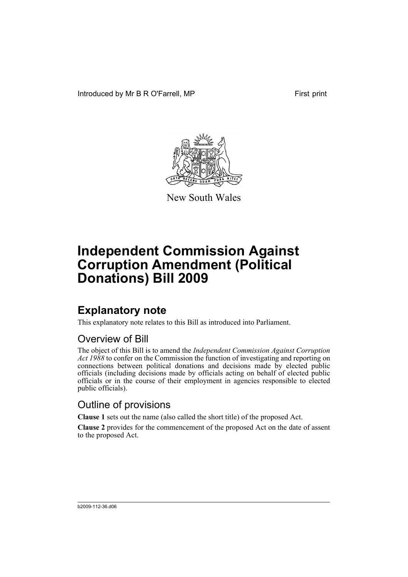Introduced by Mr B R O'Farrell, MP First print



New South Wales

# **Independent Commission Against Corruption Amendment (Political Donations) Bill 2009**

## **Explanatory note**

This explanatory note relates to this Bill as introduced into Parliament.

### Overview of Bill

The object of this Bill is to amend the *Independent Commission Against Corruption Act 1988* to confer on the Commission the function of investigating and reporting on connections between political donations and decisions made by elected public officials (including decisions made by officials acting on behalf of elected public officials or in the course of their employment in agencies responsible to elected public officials).

## Outline of provisions

**Clause 1** sets out the name (also called the short title) of the proposed Act.

**Clause 2** provides for the commencement of the proposed Act on the date of assent to the proposed Act.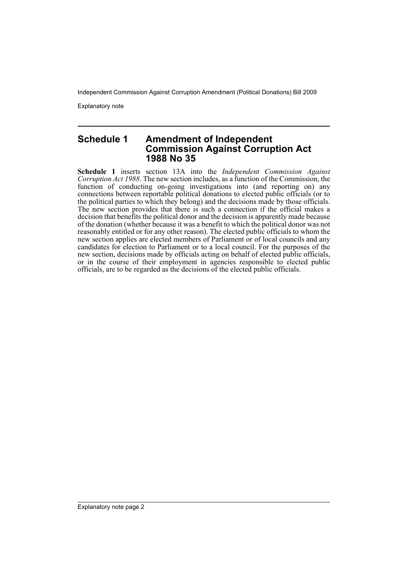Independent Commission Against Corruption Amendment (Political Donations) Bill 2009

Explanatory note

### **Schedule 1 Amendment of Independent Commission Against Corruption Act 1988 No 35**

**Schedule 1** inserts section 13A into the *Independent Commission Against Corruption Act 1988*. The new section includes, as a function of the Commission, the function of conducting on-going investigations into (and reporting on) any connections between reportable political donations to elected public officials (or to the political parties to which they belong) and the decisions made by those officials. The new section provides that there is such a connection if the official makes a decision that benefits the political donor and the decision is apparently made because of the donation (whether because it was a benefit to which the political donor was not reasonably entitled or for any other reason). The elected public officials to whom the new section applies are elected members of Parliament or of local councils and any candidates for election to Parliament or to a local council. For the purposes of the new section, decisions made by officials acting on behalf of elected public officials, or in the course of their employment in agencies responsible to elected public officials, are to be regarded as the decisions of the elected public officials.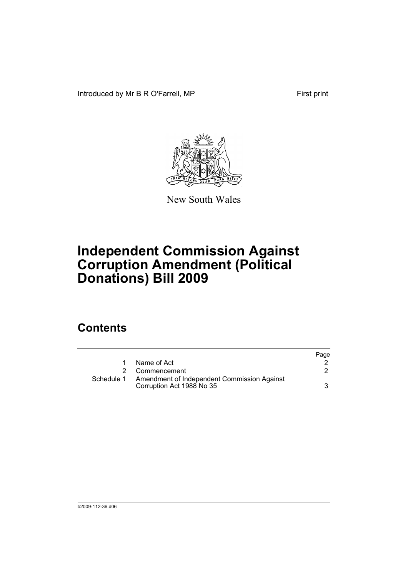Introduced by Mr B R O'Farrell, MP First print



New South Wales

# **Independent Commission Against Corruption Amendment (Political Donations) Bill 2009**

## **Contents**

|            |                                                                          | Page |
|------------|--------------------------------------------------------------------------|------|
|            | Name of Act                                                              |      |
| 2          | Commencement                                                             |      |
| Schedule 1 | Amendment of Independent Commission Against<br>Corruption Act 1988 No 35 | 3    |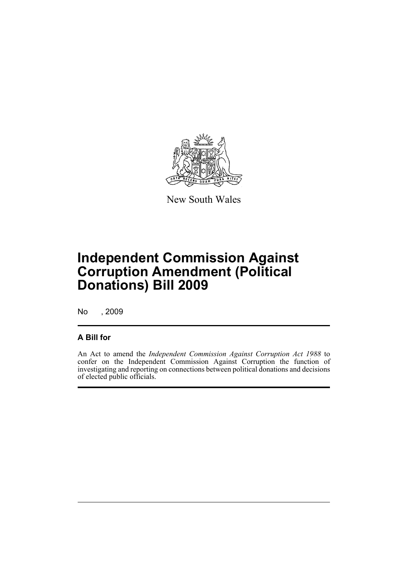

New South Wales

# **Independent Commission Against Corruption Amendment (Political Donations) Bill 2009**

No , 2009

### **A Bill for**

An Act to amend the *Independent Commission Against Corruption Act 1988* to confer on the Independent Commission Against Corruption the function of investigating and reporting on connections between political donations and decisions of elected public officials.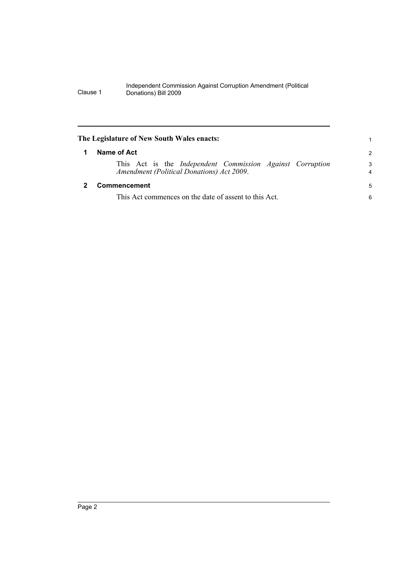#### Independent Commission Against Corruption Amendment (Political Clause 1 Donations) Bill 2009

<span id="page-5-1"></span><span id="page-5-0"></span>

| The Legislature of New South Wales enacts:                                                             | 1             |
|--------------------------------------------------------------------------------------------------------|---------------|
| Name of Act                                                                                            | $\mathcal{P}$ |
| This Act is the Independent Commission Against Corruption<br>Amendment (Political Donations) Act 2009. | 3<br>4        |
| Commencement                                                                                           | 5             |
| This Act commences on the date of assent to this Act.                                                  | 6             |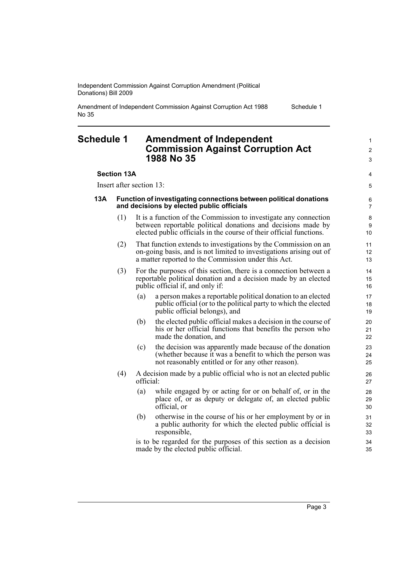Independent Commission Against Corruption Amendment (Political Donations) Bill 2009

Amendment of Independent Commission Against Corruption Act 1988 No 35

#### <span id="page-6-0"></span>**Schedule 1 Amendment of Independent Commission Against Corruption Act 1988 No 35**

#### **Section 13A**

Insert after section 13:

#### **13A Function of investigating connections between political donations and decisions by elected public officials**

- (1) It is a function of the Commission to investigate any connection between reportable political donations and decisions made by elected public officials in the course of their official functions.
- (2) That function extends to investigations by the Commission on an on-going basis, and is not limited to investigations arising out of a matter reported to the Commission under this Act.
- (3) For the purposes of this section, there is a connection between a reportable political donation and a decision made by an elected public official if, and only if:
	- (a) a person makes a reportable political donation to an elected public official (or to the political party to which the elected public official belongs), and
	- (b) the elected public official makes a decision in the course of his or her official functions that benefits the person who made the donation, and
	- (c) the decision was apparently made because of the donation (whether because it was a benefit to which the person was not reasonably entitled or for any other reason).
- (4) A decision made by a public official who is not an elected public official:
	- (a) while engaged by or acting for or on behalf of, or in the place of, or as deputy or delegate of, an elected public official, or
	- (b) otherwise in the course of his or her employment by or in a public authority for which the elected public official is responsible,

is to be regarded for the purposes of this section as a decision made by the elected public official.

Page 3

Schedule 1

1  $\mathfrak{p}$ 3

4 5